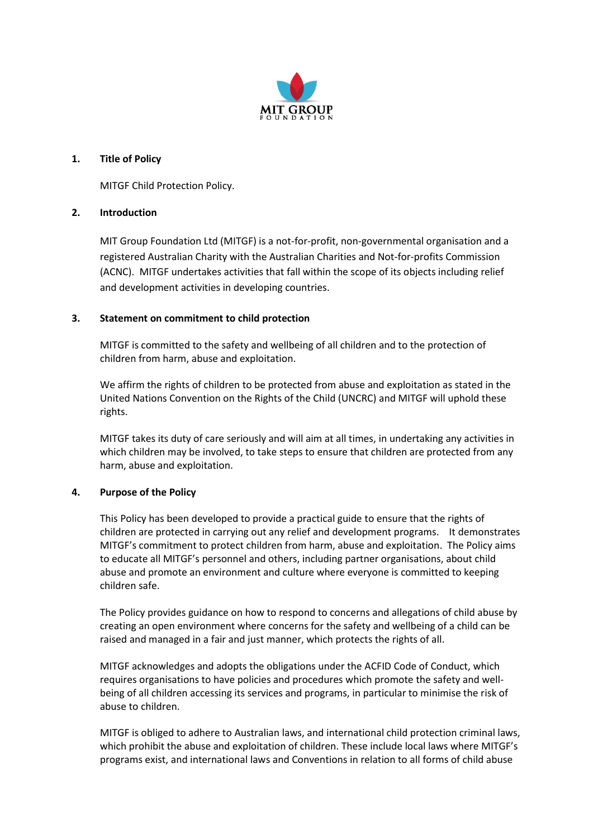

## **1. Title of Policy**

MITGF Child Protection Policy.

# **2. Introduction**

MIT Group Foundation Ltd (MITGF) is a not-for-profit, non-governmental organisation and a registered Australian Charity with the Australian Charities and Not-for-profits Commission (ACNC). MITGF undertakes activities that fall within the scope of its objects including relief and development activities in developing countries.

# **3. Statement on commitment to child protection**

MITGF is committed to the safety and wellbeing of all children and to the protection of children from harm, abuse and exploitation.

We affirm the rights of children to be protected from abuse and exploitation as stated in the United Nations Convention on the Rights of the Child (UNCRC) and MITGF will uphold these rights.

MITGF takes its duty of care seriously and will aim at all times, in undertaking any activities in which children may be involved, to take steps to ensure that children are protected from any harm, abuse and exploitation.

### **4. Purpose of the Policy**

This Policy has been developed to provide a practical guide to ensure that the rights of children are protected in carrying out any relief and development programs. It demonstrates MITGF's commitment to protect children from harm, abuse and exploitation. The Policy aims to educate all MITGF's personnel and others, including partner organisations, about child abuse and promote an environment and culture where everyone is committed to keeping children safe.

The Policy provides guidance on how to respond to concerns and allegations of child abuse by creating an open environment where concerns for the safety and wellbeing of a child can be raised and managed in a fair and just manner, which protects the rights of all.

MITGF acknowledges and adopts the obligations under the ACFID Code of Conduct, which requires organisations to have policies and procedures which promote the safety and wellbeing of all children accessing its services and programs, in particular to minimise the risk of abuse to children.

MITGF is obliged to adhere to Australian laws, and international child protection criminal laws, which prohibit the abuse and exploitation of children. These include local laws where MITGF's programs exist, and international laws and Conventions in relation to all forms of child abuse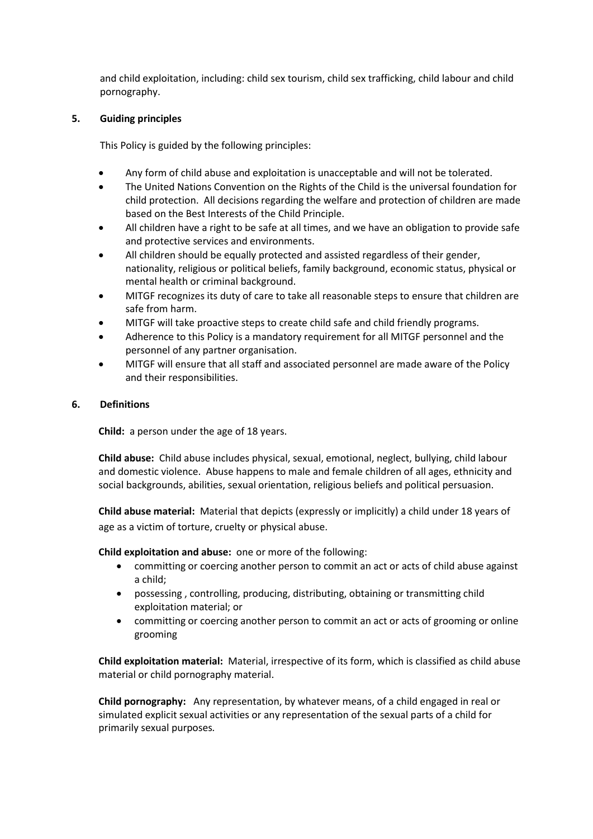and child exploitation, including: child sex tourism, child sex trafficking, child labour and child pornography.

# **5. Guiding principles**

This Policy is guided by the following principles:

- Any form of child abuse and exploitation is unacceptable and will not be tolerated.
- The United Nations Convention on the Rights of the Child is the universal foundation for child protection. All decisions regarding the welfare and protection of children are made based on the Best Interests of the Child Principle.
- All children have a right to be safe at all times, and we have an obligation to provide safe and protective services and environments.
- All children should be equally protected and assisted regardless of their gender, nationality, religious or political beliefs, family background, economic status, physical or mental health or criminal background.
- MITGF recognizes its duty of care to take all reasonable steps to ensure that children are safe from harm.
- MITGF will take proactive steps to create child safe and child friendly programs.
- Adherence to this Policy is a mandatory requirement for all MITGF personnel and the personnel of any partner organisation.
- MITGF will ensure that all staff and associated personnel are made aware of the Policy and their responsibilities.

# **6. Definitions**

**Child:** a person under the age of 18 years.

**Child abuse:** Child abuse includes physical, sexual, emotional, neglect, bullying, child labour and domestic violence. Abuse happens to male and female children of all ages, ethnicity and social backgrounds, abilities, sexual orientation, religious beliefs and political persuasion.

**Child abuse material:** Material that depicts (expressly or implicitly) a child under 18 years of age as a victim of torture, cruelty or physical abuse.

**Child exploitation and abuse:** one or more of the following:

- committing or coercing another person to commit an act or acts of child abuse against a child;
- possessing , controlling, producing, distributing, obtaining or transmitting child exploitation material; or
- committing or coercing another person to commit an act or acts of grooming or online grooming

**Child exploitation material:** Material, irrespective of its form, which is classified as child abuse material or child pornography material.

**Child pornography:** Any representation, by whatever means, of a child engaged in real or simulated explicit sexual activities or any representation of the sexual parts of a child for primarily sexual purposes*.*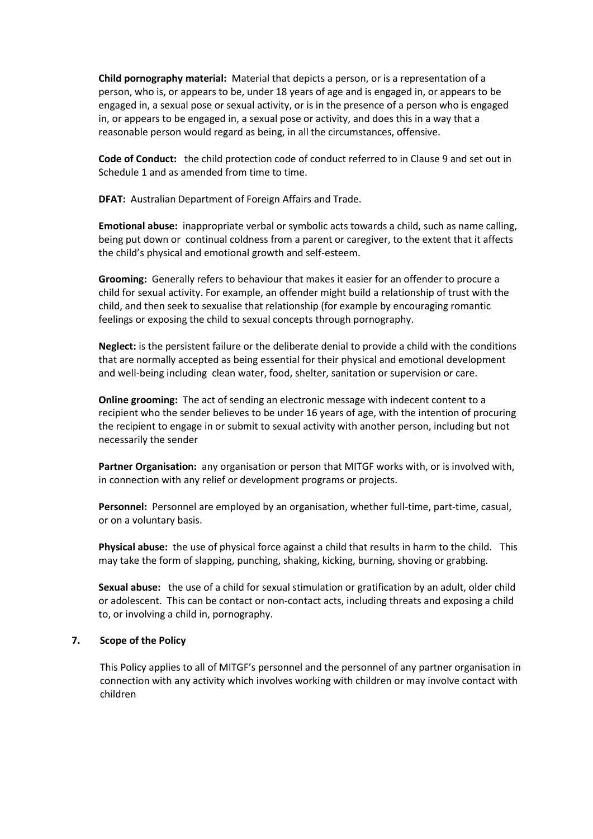**Child pornography material:** Material that depicts a person, or is a representation of a person, who is, or appears to be, under 18 years of age and is engaged in, or appears to be engaged in, a sexual pose or sexual activity, or is in the presence of a person who is engaged in, or appears to be engaged in, a sexual pose or activity, and does this in a way that a reasonable person would regard as being, in all the circumstances, offensive.

**Code of Conduct:** the child protection code of conduct referred to in Clause 9 and set out in Schedule 1 and as amended from time to time.

**DFAT:** Australian Department of Foreign Affairs and Trade.

**Emotional abuse:** inappropriate verbal or symbolic acts towards a child, such as name calling, being put down or continual coldness from a parent or caregiver, to the extent that it affects the child's physical and emotional growth and self-esteem.

**Grooming:** Generally refers to behaviour that makes it easier for an offender to procure a child for sexual activity. For example, an offender might build a relationship of trust with the child, and then seek to sexualise that relationship (for example by encouraging romantic feelings or exposing the child to sexual concepts through pornography.

**Neglect:** is the persistent failure or the deliberate denial to provide a child with the conditions that are normally accepted as being essential for their physical and emotional development and well-being including clean water, food, shelter, sanitation or supervision or care.

**Online grooming:** The act of sending an electronic message with indecent content to a recipient who the sender believes to be under 16 years of age, with the intention of procuring the recipient to engage in or submit to sexual activity with another person, including but not necessarily the sender

**Partner Organisation:** any organisation or person that MITGF works with, or is involved with, in connection with any relief or development programs or projects.

**Personnel:** Personnel are employed by an organisation, whether full-time, part-time, casual, or on a voluntary basis.

**Physical abuse:** the use of physical force against a child that results in harm to the child. This may take the form of slapping, punching, shaking, kicking, burning, shoving or grabbing.

**Sexual abuse:** the use of a child for sexual stimulation or gratification by an adult, older child or adolescent. This can be contact or non-contact acts, including threats and exposing a child to, or involving a child in, pornography.

### **7. Scope of the Policy**

This Policy applies to all of MITGF's personnel and the personnel of any partner organisation in connection with any activity which involves working with children or may involve contact with children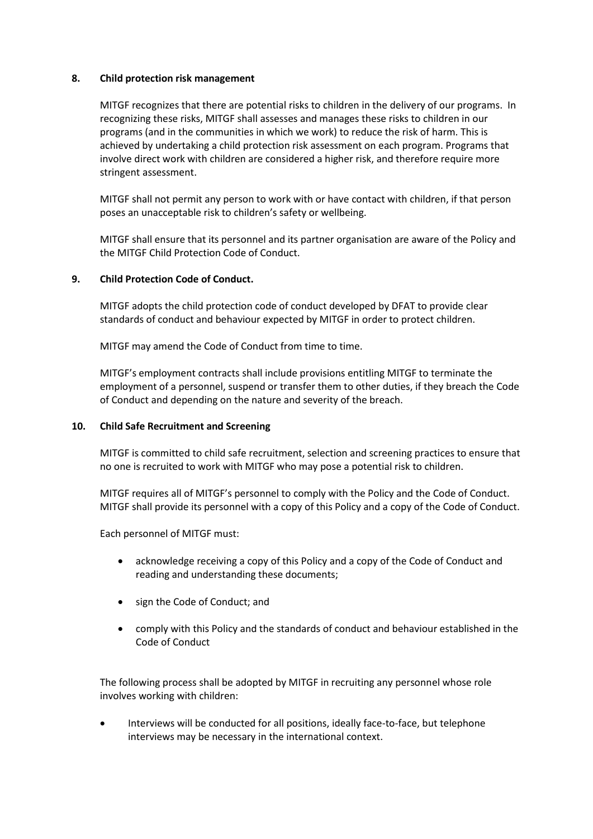## **8. Child protection risk management**

MITGF recognizes that there are potential risks to children in the delivery of our programs. In recognizing these risks, MITGF shall assesses and manages these risks to children in our programs (and in the communities in which we work) to reduce the risk of harm. This is achieved by undertaking a child protection risk assessment on each program. Programs that involve direct work with children are considered a higher risk, and therefore require more stringent assessment.

MITGF shall not permit any person to work with or have contact with children, if that person poses an unacceptable risk to children's safety or wellbeing.

MITGF shall ensure that its personnel and its partner organisation are aware of the Policy and the MITGF Child Protection Code of Conduct.

# **9. Child Protection Code of Conduct.**

MITGF adopts the child protection code of conduct developed by DFAT to provide clear standards of conduct and behaviour expected by MITGF in order to protect children.

MITGF may amend the Code of Conduct from time to time.

MITGF's employment contracts shall include provisions entitling MITGF to terminate the employment of a personnel, suspend or transfer them to other duties, if they breach the Code of Conduct and depending on the nature and severity of the breach.

### **10. Child Safe Recruitment and Screening**

MITGF is committed to child safe recruitment, selection and screening practices to ensure that no one is recruited to work with MITGF who may pose a potential risk to children.

MITGF requires all of MITGF's personnel to comply with the Policy and the Code of Conduct. MITGF shall provide its personnel with a copy of this Policy and a copy of the Code of Conduct.

Each personnel of MITGF must:

- acknowledge receiving a copy of this Policy and a copy of the Code of Conduct and reading and understanding these documents;
- sign the Code of Conduct; and
- comply with this Policy and the standards of conduct and behaviour established in the Code of Conduct

The following process shall be adopted by MITGF in recruiting any personnel whose role involves working with children:

• Interviews will be conducted for all positions, ideally face-to-face, but telephone interviews may be necessary in the international context.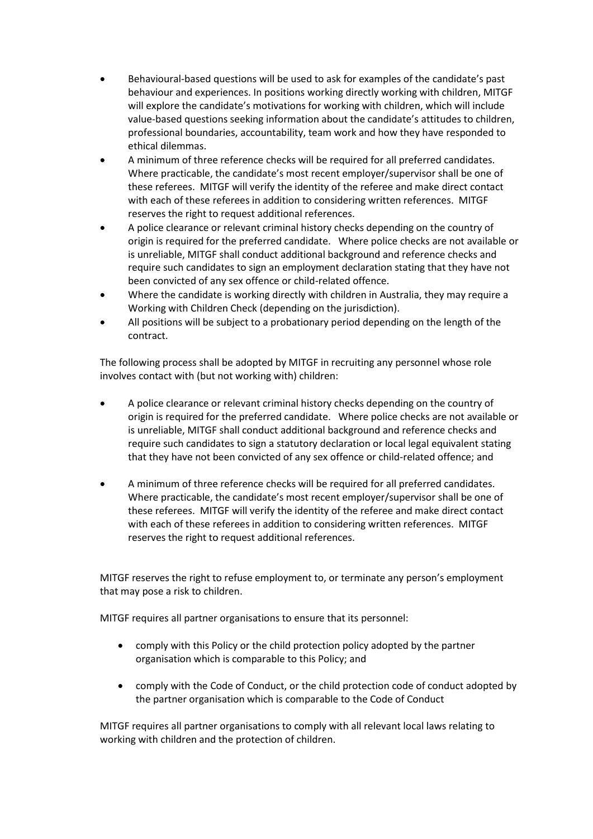- Behavioural-based questions will be used to ask for examples of the candidate's past behaviour and experiences. In positions working directly working with children, MITGF will explore the candidate's motivations for working with children, which will include value-based questions seeking information about the candidate's attitudes to children, professional boundaries, accountability, team work and how they have responded to ethical dilemmas.
- A minimum of three reference checks will be required for all preferred candidates. Where practicable, the candidate's most recent employer/supervisor shall be one of these referees. MITGF will verify the identity of the referee and make direct contact with each of these referees in addition to considering written references. MITGF reserves the right to request additional references.
- A police clearance or relevant criminal history checks depending on the country of origin is required for the preferred candidate. Where police checks are not available or is unreliable, MITGF shall conduct additional background and reference checks and require such candidates to sign an employment declaration stating that they have not been convicted of any sex offence or child-related offence.
- Where the candidate is working directly with children in Australia, they may require a Working with Children Check (depending on the jurisdiction).
- All positions will be subject to a probationary period depending on the length of the contract.

The following process shall be adopted by MITGF in recruiting any personnel whose role involves contact with (but not working with) children:

- A police clearance or relevant criminal history checks depending on the country of origin is required for the preferred candidate. Where police checks are not available or is unreliable, MITGF shall conduct additional background and reference checks and require such candidates to sign a statutory declaration or local legal equivalent stating that they have not been convicted of any sex offence or child-related offence; and
- A minimum of three reference checks will be required for all preferred candidates. Where practicable, the candidate's most recent employer/supervisor shall be one of these referees. MITGF will verify the identity of the referee and make direct contact with each of these referees in addition to considering written references. MITGF reserves the right to request additional references.

MITGF reserves the right to refuse employment to, or terminate any person's employment that may pose a risk to children.

MITGF requires all partner organisations to ensure that its personnel:

- comply with this Policy or the child protection policy adopted by the partner organisation which is comparable to this Policy; and
- comply with the Code of Conduct, or the child protection code of conduct adopted by the partner organisation which is comparable to the Code of Conduct

MITGF requires all partner organisations to comply with all relevant local laws relating to working with children and the protection of children.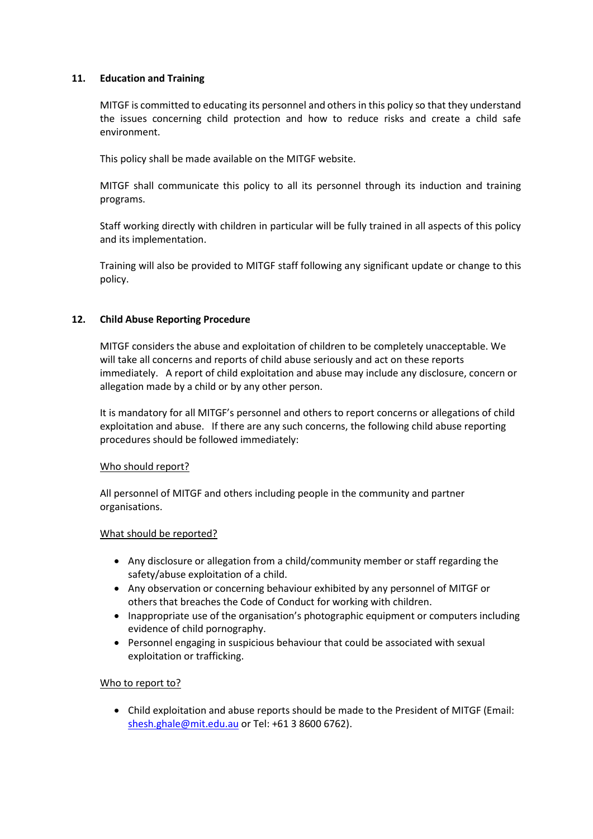# **11. Education and Training**

MITGF is committed to educating its personnel and others in this policy so that they understand the issues concerning child protection and how to reduce risks and create a child safe environment.

This policy shall be made available on the MITGF website.

MITGF shall communicate this policy to all its personnel through its induction and training programs.

Staff working directly with children in particular will be fully trained in all aspects of this policy and its implementation.

Training will also be provided to MITGF staff following any significant update or change to this policy.

# **12. Child Abuse Reporting Procedure**

MITGF considers the abuse and exploitation of children to be completely unacceptable. We will take all concerns and reports of child abuse seriously and act on these reports immediately. A report of child exploitation and abuse may include any disclosure, concern or allegation made by a child or by any other person.

It is mandatory for all MITGF's personnel and others to report concerns or allegations of child exploitation and abuse. If there are any such concerns, the following child abuse reporting procedures should be followed immediately:

### Who should report?

All personnel of MITGF and others including people in the community and partner organisations.

### What should be reported?

- Any disclosure or allegation from a child/community member or staff regarding the safety/abuse exploitation of a child.
- Any observation or concerning behaviour exhibited by any personnel of MITGF or others that breaches the Code of Conduct for working with children.
- Inappropriate use of the organisation's photographic equipment or computers including evidence of child pornography.
- Personnel engaging in suspicious behaviour that could be associated with sexual exploitation or trafficking.

### Who to report to?

• Child exploitation and abuse reports should be made to the President of MITGF (Email: [shesh.ghale@mit.edu.au](mailto:shesh.ghale@mit.edu.au) or Tel: +61 3 8600 6762).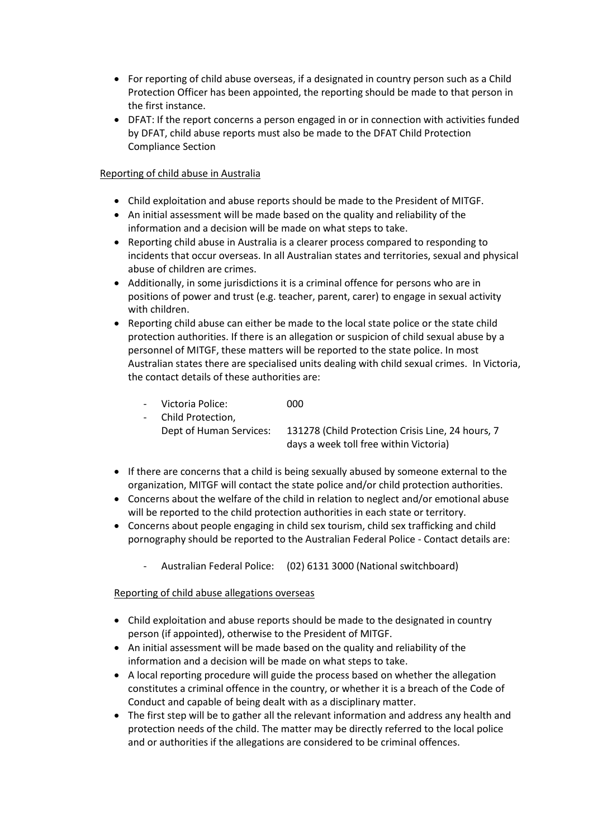- For reporting of child abuse overseas, if a designated in country person such as a Child Protection Officer has been appointed, the reporting should be made to that person in the first instance.
- DFAT: If the report concerns a person engaged in or in connection with activities funded by DFAT, child abuse reports must also be made to the DFAT Child Protection Compliance Section

# Reporting of child abuse in Australia

- Child exploitation and abuse reports should be made to the President of MITGF.
- An initial assessment will be made based on the quality and reliability of the information and a decision will be made on what steps to take.
- Reporting child abuse in Australia is a clearer process compared to responding to incidents that occur overseas. In all Australian states and territories, sexual and physical abuse of children are crimes.
- Additionally, in some jurisdictions it is a criminal offence for persons who are in positions of power and trust (e.g. teacher, parent, carer) to engage in sexual activity with children.
- Reporting child abuse can either be made to the local state police or the state child protection authorities. If there is an allegation or suspicion of child sexual abuse by a personnel of MITGF, these matters will be reported to the state police. In most Australian states there are specialised units dealing with child sexual crimes. In Victoria, the contact details of these authorities are:
	- Victoria Police: 000 - Child Protection, Dept of Human Services: 131278 (Child Protection Crisis Line, 24 hours, 7 days a week toll free within Victoria)
- If there are concerns that a child is being sexually abused by someone external to the organization, MITGF will contact the state police and/or child protection authorities.
- Concerns about the welfare of the child in relation to neglect and/or emotional abuse will be reported to the child protection authorities in each state or territory.
- Concerns about people engaging in child sex tourism, child sex trafficking and child pornography should be reported to the Australian Federal Police - Contact details are:
	- Australian Federal Police: (02) 6131 3000 (National switchboard)

Reporting of child abuse allegations overseas

- Child exploitation and abuse reports should be made to the designated in country person (if appointed), otherwise to the President of MITGF.
- An initial assessment will be made based on the quality and reliability of the information and a decision will be made on what steps to take.
- A local reporting procedure will guide the process based on whether the allegation constitutes a criminal offence in the country, or whether it is a breach of the Code of Conduct and capable of being dealt with as a disciplinary matter.
- The first step will be to gather all the relevant information and address any health and protection needs of the child. The matter may be directly referred to the local police and or authorities if the allegations are considered to be criminal offences.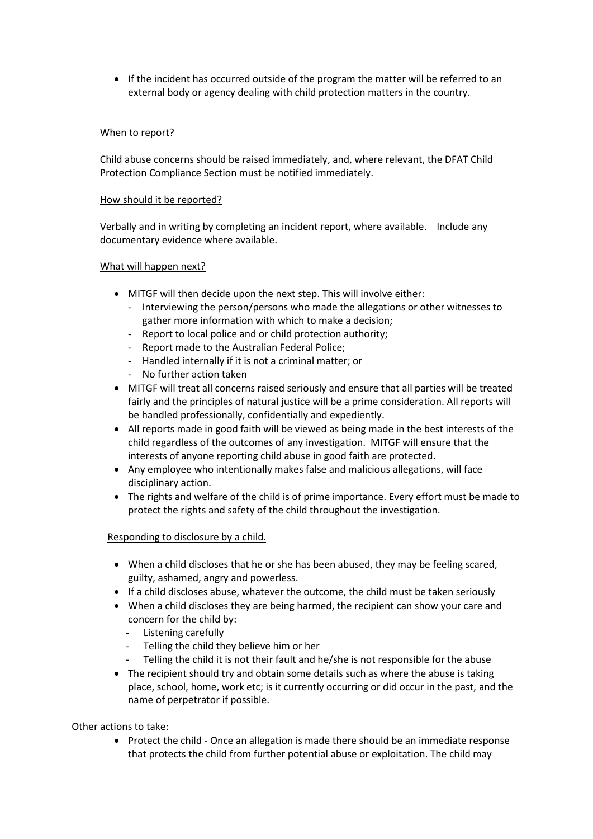• If the incident has occurred outside of the program the matter will be referred to an external body or agency dealing with child protection matters in the country.

# When to report?

Child abuse concerns should be raised immediately, and, where relevant, the DFAT Child Protection Compliance Section must be notified immediately.

### How should it be reported?

Verbally and in writing by completing an incident report, where available. Include any documentary evidence where available.

#### What will happen next?

- MITGF will then decide upon the next step. This will involve either:
	- Interviewing the person/persons who made the allegations or other witnesses to gather more information with which to make a decision;
	- Report to local police and or child protection authority;
	- Report made to the Australian Federal Police;
	- Handled internally if it is not a criminal matter; or
	- No further action taken
- MITGF will treat all concerns raised seriously and ensure that all parties will be treated fairly and the principles of natural justice will be a prime consideration. All reports will be handled professionally, confidentially and expediently.
- All reports made in good faith will be viewed as being made in the best interests of the child regardless of the outcomes of any investigation. MITGF will ensure that the interests of anyone reporting child abuse in good faith are protected.
- Any employee who intentionally makes false and malicious allegations, will face disciplinary action.
- The rights and welfare of the child is of prime importance. Every effort must be made to protect the rights and safety of the child throughout the investigation.

### Responding to disclosure by a child.

- When a child discloses that he or she has been abused, they may be feeling scared, guilty, ashamed, angry and powerless.
- If a child discloses abuse, whatever the outcome, the child must be taken seriously
- When a child discloses they are being harmed, the recipient can show your care and concern for the child by:
	- Listening carefully
	- Telling the child they believe him or her
	- Telling the child it is not their fault and he/she is not responsible for the abuse
- The recipient should try and obtain some details such as where the abuse is taking place, school, home, work etc; is it currently occurring or did occur in the past, and the name of perpetrator if possible.

### Other actions to take:

• Protect the child - Once an allegation is made there should be an immediate response that protects the child from further potential abuse or exploitation. The child may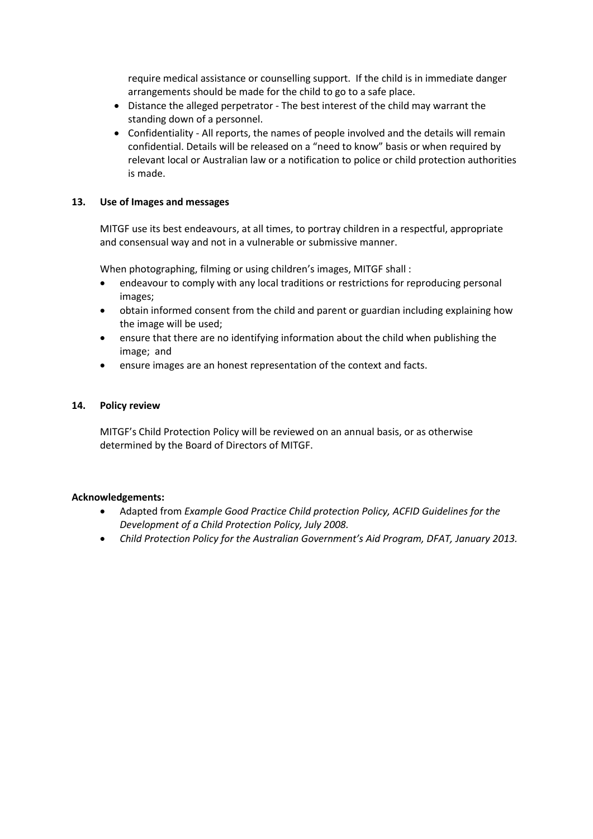require medical assistance or counselling support. If the child is in immediate danger arrangements should be made for the child to go to a safe place.

- Distance the alleged perpetrator The best interest of the child may warrant the standing down of a personnel.
- Confidentiality All reports, the names of people involved and the details will remain confidential. Details will be released on a "need to know" basis or when required by relevant local or Australian law or a notification to police or child protection authorities is made.

# **13. Use of Images and messages**

MITGF use its best endeavours, at all times, to portray children in a respectful, appropriate and consensual way and not in a vulnerable or submissive manner.

When photographing, filming or using children's images, MITGF shall :

- endeavour to comply with any local traditions or restrictions for reproducing personal images;
- obtain informed consent from the child and parent or guardian including explaining how the image will be used;
- ensure that there are no identifying information about the child when publishing the image; and
- ensure images are an honest representation of the context and facts.

### **14. Policy review**

MITGF's Child Protection Policy will be reviewed on an annual basis, or as otherwise determined by the Board of Directors of MITGF.

### **Acknowledgements:**

- Adapted from *Example Good Practice Child protection Policy, ACFID Guidelines for the Development of a Child Protection Policy, July 2008.*
- *Child Protection Policy for the Australian Government's Aid Program, DFAT, January 2013.*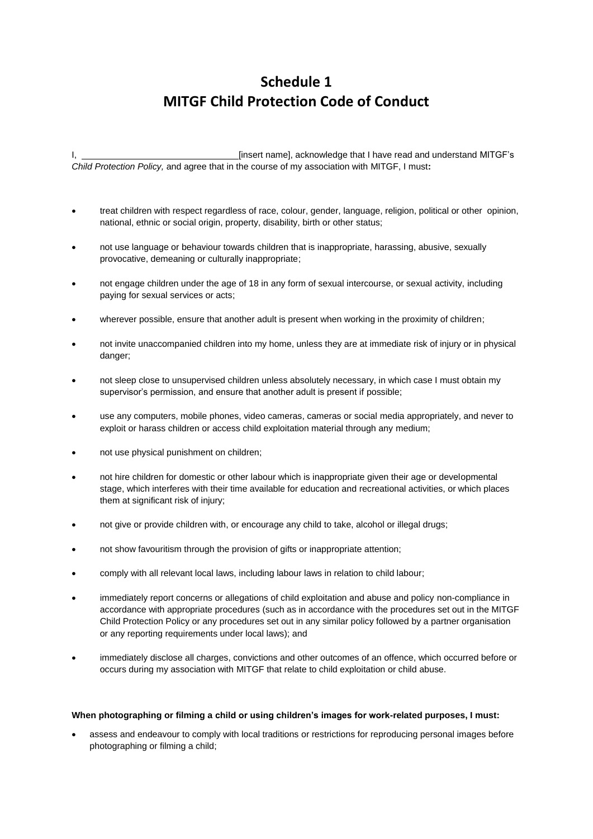# **Schedule 1 MITGF Child Protection Code of Conduct**

I, Einsert name], acknowledge that I have read and understand MITGF's *Child Protection Policy,* and agree that in the course of my association with MITGF, I must**:**

- treat children with respect regardless of race, colour, gender, language, religion, political or other opinion, national, ethnic or social origin, property, disability, birth or other status;
- not use language or behaviour towards children that is inappropriate, harassing, abusive, sexually provocative, demeaning or culturally inappropriate;
- not engage children under the age of 18 in any form of sexual intercourse, or sexual activity, including paying for sexual services or acts;
- wherever possible, ensure that another adult is present when working in the proximity of children;
- not invite unaccompanied children into my home, unless they are at immediate risk of injury or in physical danger:
- not sleep close to unsupervised children unless absolutely necessary, in which case I must obtain my supervisor's permission, and ensure that another adult is present if possible;
- use any computers, mobile phones, video cameras, cameras or social media appropriately, and never to exploit or harass children or access child exploitation material through any medium;
- not use physical punishment on children;
- not hire children for domestic or other labour which is inappropriate given their age or developmental stage, which interferes with their time available for education and recreational activities, or which places them at significant risk of injury;
- not give or provide children with, or encourage any child to take, alcohol or illegal drugs;
- not show favouritism through the provision of gifts or inappropriate attention;
- comply with all relevant local laws, including labour laws in relation to child labour;
- immediately report concerns or allegations of child exploitation and abuse and policy non-compliance in accordance with appropriate procedures (such as in accordance with the procedures set out in the MITGF Child Protection Policy or any procedures set out in any similar policy followed by a partner organisation or any reporting requirements under local laws); and
- immediately disclose all charges, convictions and other outcomes of an offence, which occurred before or occurs during my association with MITGF that relate to child exploitation or child abuse.

#### **When photographing or filming a child or using children's images for work-related purposes, I must:**

• assess and endeavour to comply with local traditions or restrictions for reproducing personal images before photographing or filming a child;